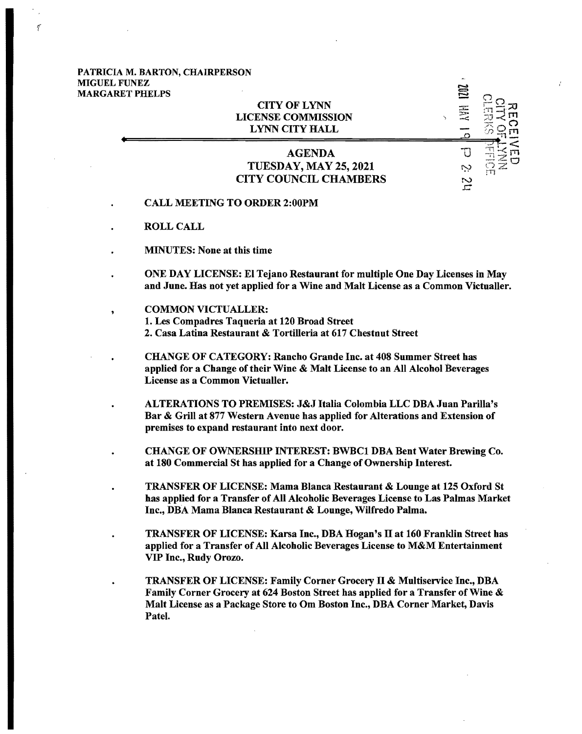## PATRICIA M. BARTON, CHAIRPERSON **MIGUEL FUNEZ<br>MARGARET PHE** r-september 1988 and 1988 and 1988 and 1988 and 1988 and 1988 and 1988 and 1988 and 1988 and 1988 and 1988 and

'(

| <b>MARGARET PHELPS</b> | <b>CITY OF LYNN</b><br><b>LICENSE COMMISSION</b><br><b>LYNN CITY HALL</b>                                            | 弖<br>丟              |    |
|------------------------|----------------------------------------------------------------------------------------------------------------------|---------------------|----|
|                        | <b>AGENDA</b><br><b>TUESDAY, MAY 25, 2021</b><br><b>CITY COUNCIL CHAMBERS</b><br><b>CALL MEETING TO ORDER 2:00PM</b> | ب:<br>$\frac{1}{2}$ | FF |

- ROLL CALL
- MINUTES: None at this time
- ONE DAY LICENSE: EI Tejano Restaurant for multiple One Day Licenses in May and June. Has not yet applied for a Wine and Malt License as a Common Victualler.
- COMMON VICTUALLER: 1. Les Compadres Taqueria at 120 Broad Street 2. Casa Latina Restaurant & Tortilleria at 617 Chestnut Street
	- CHANGE OF CATEGORY: Rancho Grande Inc. at 408 Summer Street has applied for a Change of their Wine & Malt License to an All Alcohol Beverages License as a Common Victualler.
- ALTERATIONS TO PREMISES: J&J Italia Colombia LLC DBA Juan Parilla's Bar & Grill at 877 Western Avenue has applied for Alterations and Extension of premises to expand restaurant into next door.
- CHANGE OF OWNERSHIP INTEREST: BWBCl DBA Bent Water Brewing Co. at 180 Commercial St has applied for a Change of Ownership Interest.
- TRANSFER OF LICENSE: Mama Blanca Restaurant & Lounge at 125 Oxford St has applied for a Transfer of All Alcoholic Beverages License to Las Palmas Market Inc., DBA Mama Blanca Restaurant & Lounge, Wilfredo Palma.
	- TRANSFER OF LICENSE: Karsa Inc., DBA Hogan's II at 160 Franklin Street has applied for a Transfer of All Alcoholic Beverages License to M&M Entertainment VIP Inc., Rudy Orozo.
	- TRANSFER OF LICENSE: Family Corner Grocery II & Multiservice Inc., DBA Family Corner Grocery at 624 Boston Street has applied for a Transfer of Wine & Malt License as a Package Store to Om Boston Inc., DBA Corner Market, Davis Patel.